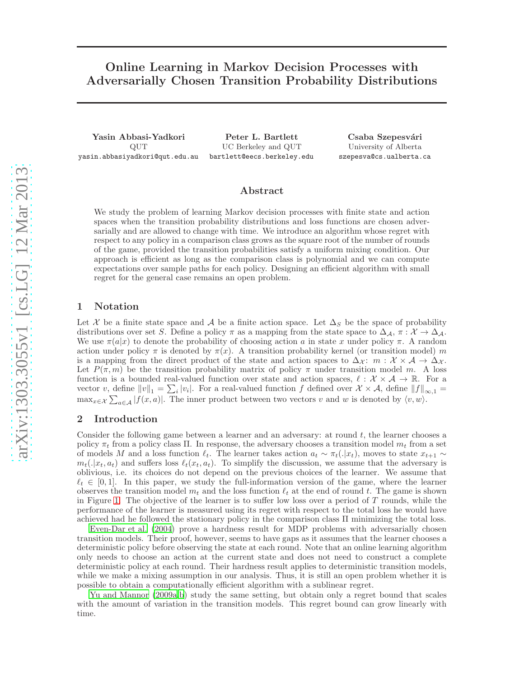# Online Learning in Markov Decision Processes with Adversarially Chosen Transition Probability Distributions

Yasin Abbasi-Yadkori QUT yasin.abbasiyadkori@qut.edu.au

Peter L. Bartlett UC Berkeley and QUT bartlett@eecs.berkeley.edu

Csaba Szepesvári University of Alberta szepesva@cs.ualberta.ca

## Abstract

We study the problem of learning Markov decision processes with finite state and action spaces when the transition probability distributions and loss functions are chosen adversarially and are allowed to change with time. We introduce an algorithm whose regret with respect to any policy in a comparison class grows as the square root of the number of rounds of the game, provided the transition probabilities satisfy a uniform mixing condition. Our approach is efficient as long as the comparison class is polynomial and we can compute expectations over sample paths for each policy. Designing an efficient algorithm with small regret for the general case remains an open problem.

## 1 Notation

Let X be a finite state space and A be a finite action space. Let  $\Delta_S$  be the space of probability distributions over set S. Define a policy  $\pi$  as a mapping from the state space to  $\Delta_{\mathcal{A}}$ ,  $\pi : \mathcal{X} \to \Delta_{\mathcal{A}}$ . We use  $\pi(a|x)$  to denote the probability of choosing action a in state x under policy  $\pi$ . A random action under policy  $\pi$  is denoted by  $\pi(x)$ . A transition probability kernel (or transition model) m is a mapping from the direct product of the state and action spaces to  $\Delta_{\mathcal{X}}$ :  $m : \mathcal{X} \times \mathcal{A} \to \Delta_{\mathcal{X}}$ . Let  $P(\pi, m)$  be the transition probability matrix of policy  $\pi$  under transition model m. A loss function is a bounded real-valued function over state and action spaces,  $\ell : \mathcal{X} \times \mathcal{A} \to \mathbb{R}$ . For a vector v, define  $||v||_1 = \sum_i |v_i|$ . For a real-valued function f defined over  $\mathcal{X} \times \mathcal{A}$ , define  $||f||_{\infty,1} =$  $\max_{x \in \mathcal{X}} \sum_{a \in \mathcal{A}} |f(x, a)|$ . The inner product between two vectors v and w is denoted by  $\langle v, w \rangle$ .

## 2 Introduction

Consider the following game between a learner and an adversary: at round  $t$ , the learner chooses a policy  $\pi_t$  from a policy class Π. In response, the adversary chooses a transition model  $m_t$  from a set of models M and a loss function  $\ell_t$ . The learner takes action  $a_t \sim \pi_t(.|x_t)$ , moves to state  $x_{t+1} \sim$  $m_t(.|x_t, a_t)$  and suffers loss  $\ell_t(x_t, a_t)$ . To simplify the discussion, we assume that the adversary is oblivious, i.e. its choices do not depend on the previous choices of the learner. We assume that  $\ell_t \in [0,1]$ . In this paper, we study the full-information version of the game, where the learner observes the transition model  $m_t$  and the loss function  $\ell_t$  at the end of round t. The game is shown in Figure [1.](#page-1-0) The objective of the learner is to suffer low loss over a period of  $T$  rounds, while the performance of the learner is measured using its regret with respect to the total loss he would have achieved had he followed the stationary policy in the comparison class Π minimizing the total loss.

[Even-Dar et al. \(2004\)](#page-6-0) prove a hardness result for MDP problems with adversarially chosen transition models. Their proof, however, seems to have gaps as it assumes that the learner chooses a deterministic policy before observing the state at each round. Note that an online learning algorithm only needs to choose an action at the current state and does not need to construct a complete deterministic policy at each round. Their hardness result applies to deterministic transition models, while we make a mixing assumption in our analysis. Thus, it is still an open problem whether it is possible to obtain a computationally efficient algorithm with a sublinear regret.

[Yu and Mannor \(2009a](#page-6-1)[,b](#page-6-2)) study the same setting, but obtain only a regret bound that scales with the amount of variation in the transition models. This regret bound can grow linearly with time.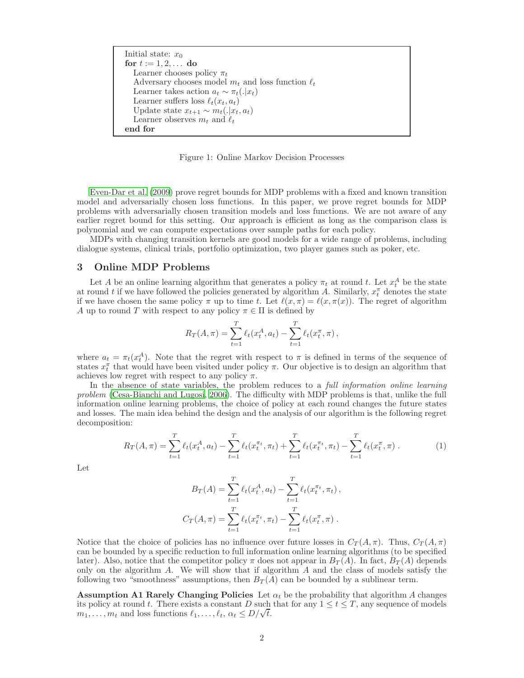Initial state:  $x_0$ for  $t := 1, 2, ...$  do Learner chooses policy  $\pi_t$ Adversary chooses model  $m_t$  and loss function  $\ell_t$ Learner takes action  $a_t \sim \pi_t(.|x_t)$ Learner suffers loss  $\ell_t(x_t, a_t)$ Update state  $x_{t+1} \sim m_t(.|x_t, a_t)$ Learner observes  $m_t$  and  $\ell_t$ end for

<span id="page-1-0"></span>Figure 1: Online Markov Decision Processes

[Even-Dar et al. \(2009\)](#page-6-3) prove regret bounds for MDP problems with a fixed and known transition model and adversarially chosen loss functions. In this paper, we prove regret bounds for MDP problems with adversarially chosen transition models and loss functions. We are not aware of any earlier regret bound for this setting. Our approach is efficient as long as the comparison class is polynomial and we can compute expectations over sample paths for each policy.

MDPs with changing transition kernels are good models for a wide range of problems, including dialogue systems, clinical trials, portfolio optimization, two player games such as poker, etc.

# 3 Online MDP Problems

Let A be an online learning algorithm that generates a policy  $\pi_t$  at round t. Let  $x_t^A$  be the state at round t if we have followed the policies generated by algorithm A. Similarly,  $x_t^{\pi}$  denotes the state if we have chosen the same policy  $\pi$  up to time t. Let  $\ell(x, \pi) = \ell(x, \pi(x))$ . The regret of algorithm A up to round T with respect to any policy  $\pi \in \Pi$  is defined by

$$
R_T(A,\pi) = \sum_{t=1}^T \ell_t(x_t^A, a_t) - \sum_{t=1}^T \ell_t(x_t^{\pi}, \pi),
$$

where  $a_t = \pi_t(x_t^A)$ . Note that the regret with respect to  $\pi$  is defined in terms of the sequence of states  $x_t^{\pi}$  that would have been visited under policy  $\pi$ . Our objective is to design an algorithm that achieves low regret with respect to any policy  $\pi$ .

In the absence of state variables, the problem reduces to a *full information online learning* problem [\(Cesa-Bianchi and Lugosi](#page-6-4), [2006\)](#page-6-4). The difficulty with MDP problems is that, unlike the full information online learning problems, the choice of policy at each round changes the future states and losses. The main idea behind the design and the analysis of our algorithm is the following regret decomposition:

<span id="page-1-2"></span>
$$
R_T(A,\pi) = \sum_{t=1}^T \ell_t(x_t^A, a_t) - \sum_{t=1}^T \ell_t(x_t^{\pi_t}, \pi_t) + \sum_{t=1}^T \ell_t(x_t^{\pi_t}, \pi_t) - \sum_{t=1}^T \ell_t(x_t^{\pi}, \pi).
$$
 (1)

Let

$$
B_T(A) = \sum_{t=1}^T \ell_t(x_t^A, a_t) - \sum_{t=1}^T \ell_t(x_t^{\pi_t}, \pi_t),
$$
  

$$
C_T(A, \pi) = \sum_{t=1}^T \ell_t(x_t^{\pi_t}, \pi_t) - \sum_{t=1}^T \ell_t(x_t^{\pi}, \pi).
$$

Notice that the choice of policies has no influence over future losses in  $C_T(A,\pi)$ . Thus,  $C_T(A,\pi)$ can be bounded by a specific reduction to full information online learning algorithms (to be specified later). Also, notice that the competitor policy  $\pi$  does not appear in  $B_T(A)$ . In fact,  $B_T(A)$  depends only on the algorithm  $A$ . We will show that if algorithm  $A$  and the class of models satisfy the following two "smoothness" assumptions, then  $B_T(A)$  can be bounded by a sublinear term.

<span id="page-1-1"></span>**Assumption A1 Rarely Changing Policies** Let  $\alpha_t$  be the probability that algorithm A changes its policy at round t. There exists a constant D such that for any  $1 \le t \le T$ , any sequence of models  $m_1, \ldots, m_t$  and loss functions  $\ell_1, \ldots, \ell_t, \alpha_t \leq D/\sqrt{t}$ .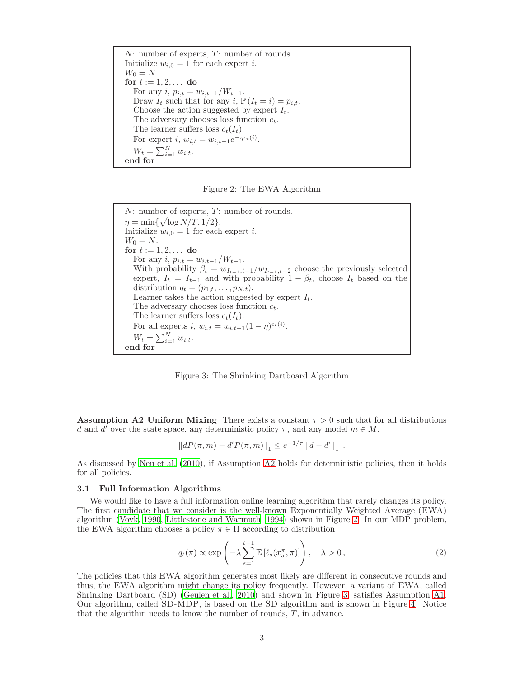$N:$  number of experts,  $T:$  number of rounds. Initialize  $w_{i,0} = 1$  for each expert *i*.  $W_0 = N$ . for  $t := 1, 2, ...$  do For any  $i, p_{i,t} = w_{i,t-1}/W_{t-1}.$ Draw  $I_t$  such that for any  $i, \mathbb{P}(I_t = i) = p_{i,t}$ . Choose the action suggested by expert  $I_t$ . The adversary chooses loss function  $c_t$ . The learner suffers loss  $c_t(I_t)$ . For expert *i*,  $w_{i,t} = w_{i,t-1}e^{-\eta c_t(i)}$ .  $W_t = \sum_{i=1}^{N} w_{i,t}.$ end for

<span id="page-2-1"></span>Figure 2: The EWA Algorithm

 $N:$  number of experts,  $T:$  number of rounds.  $\eta = \min\{\sqrt{\log N/T}, 1/2\}.$ Initialize  $w_{i,0} = 1$  for each expert *i*.  $W_0 = N$ . for  $t := 1, 2, ...$  do For any i,  $p_{i,t} = w_{i,t-1}/W_{t-1}$ . With probability  $\beta_t = w_{I_{t-1},t-1}/w_{I_{t-1},t-2}$  choose the previously selected expert,  $I_t = I_{t-1}$  and with probability  $1 - \beta_t$ , choose  $I_t$  based on the distribution  $q_t = (p_{1,t}, \ldots, p_{N,t}).$ Learner takes the action suggested by expert  $I_t$ . The adversary chooses loss function  $c_t$ . The learner suffers loss  $c_t(I_t)$ . For all experts *i*,  $w_{i,t} = w_{i,t-1}(1-\eta)^{c_t(i)}$ .  $W_t = \sum_{i=1}^{N} w_{i,t}.$ end for

<span id="page-2-2"></span>Figure 3: The Shrinking Dartboard Algorithm

<span id="page-2-0"></span>**Assumption A2 Uniform Mixing** There exists a constant  $\tau > 0$  such that for all distributions d and d' over the state space, any deterministic policy  $\pi$ , and any model  $m \in M$ ,

$$
||dP(\pi,m) - d'P(\pi,m)||_1 \le e^{-1/\tau} ||d - d'||_1.
$$

As discussed by [Neu et al. \(2010\)](#page-6-5), if Assumption [A2](#page-2-0) holds for deterministic policies, then it holds for all policies.

#### 3.1 Full Information Algorithms

We would like to have a full information online learning algorithm that rarely changes its policy. The first candidate that we consider is the well-known Exponentially Weighted Average (EWA) algorithm [\(Vovk, 1990,](#page-6-6) [Littlestone and Warmuth, 1994](#page-6-7)) shown in Figure [2.](#page-2-1) In our MDP problem, the EWA algorithm chooses a policy  $\pi \in \Pi$  according to distribution

$$
q_t(\pi) \propto \exp\left(-\lambda \sum_{s=1}^{t-1} \mathbb{E}\left[\ell_s(x_s^{\pi}, \pi)\right]\right), \quad \lambda > 0, \tag{2}
$$

The policies that this EWA algorithm generates most likely are different in consecutive rounds and thus, the EWA algorithm might change its policy frequently. However, a variant of EWA, called Shrinking Dartboard (SD) [\(Geulen et al., 2010\)](#page-6-8) and shown in Figure [3,](#page-2-2) satisfies Assumption [A1.](#page-1-1) Our algorithm, called SD-MDP, is based on the SD algorithm and is shown in Figure [4.](#page-3-0) Notice that the algorithm needs to know the number of rounds,  $T$ , in advance.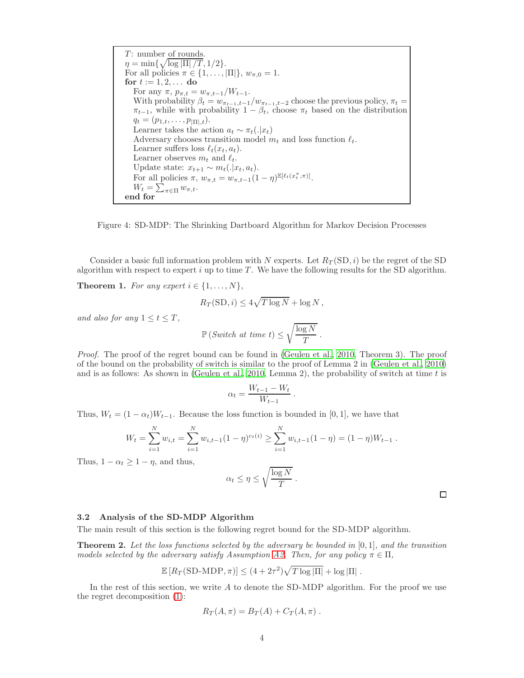T: number of rounds.  
\n
$$
\eta = \min\{\sqrt{\log |\Pi|/T}, 1/2\}.
$$
  
\nFor all policies  $\pi \in \{1, ..., |\Pi|\}$ ,  $w_{\pi,0} = 1$ .  
\nfor  $t := 1, 2, ...$  do  
\nFor any  $\pi, p_{\pi,t} = w_{\pi,t-1}/W_{t-1}$ .  
\nWith probability  $\beta_t = w_{\pi_{t-1},t-1}/w_{\pi_{t-1},t-2}$  choose the previous policy,  $\pi_t = \pi_{t-1}$ , while with probability  $1 - \beta_t$ , choose  $\pi_t$  based on the distribution  
\n $q_t = (p_{1,t}, ..., p_{|\Pi|,t})$ .  
\nLearner takes the action  $a_t \sim \pi_t(.|x_t)$   
\nAdversary chooses transition model  $m_t$  and loss function  $\ell_t$ .  
\nLearner suffers loss  $\ell_t(x_t, a_t)$ .  
\nLearner observes  $m_t$  and  $\ell_t$ .  
\nUpdate state:  $x_{t+1} \sim m_t(.|x_t, a_t)$ .  
\nFor all policies  $\pi, w_{\pi,t} = w_{\pi,t-1}(1 - \eta)^{\mathbb{E}[\ell_t(x_t^{\pi}, \pi)]}$ .  
\n $W_t = \sum_{\pi \in \Pi} w_{\pi,t}$ .  
\nend for

<span id="page-3-0"></span>Figure 4: SD-MDP: The Shrinking Dartboard Algorithm for Markov Decision Processes

<span id="page-3-1"></span>Consider a basic full information problem with N experts. Let  $R_T(SD, i)$  be the regret of the SD algorithm with respect to expert  $i$  up to time  $T$ . We have the following results for the SD algorithm.

**Theorem 1.** For any expert  $i \in \{1, \ldots, N\}$ ,

$$
R_T(\text{SD}, i) \le 4\sqrt{T \log N} + \log N,
$$

and also for any  $1 \leq t \leq T$ ,

$$
\mathbb{P}\left(\textit{Switch at time } t\right) \leq \sqrt{\frac{\log N}{T}} \; .
$$

Proof. The proof of the regret bound can be found in [\(Geulen et al., 2010,](#page-6-8) Theorem 3). The proof of the bound on the probability of switch is similar to the proof of Lemma 2 in [\(Geulen et al.](#page-6-8), [2010](#page-6-8)) and is as follows: As shown in [\(Geulen et al.](#page-6-8), [2010,](#page-6-8) Lemma 2), the probability of switch at time  $t$  is

$$
\alpha_t = \frac{W_{t-1} - W_t}{W_{t-1}}
$$

.

Thus,  $W_t = (1 - \alpha_t)W_{t-1}$ . Because the loss function is bounded in [0, 1], we have that

$$
W_t = \sum_{i=1}^N w_{i,t} = \sum_{i=1}^N w_{i,t-1} (1 - \eta)^{c_t(i)} \ge \sum_{i=1}^N w_{i,t-1} (1 - \eta) = (1 - \eta) W_{t-1}.
$$

Thus,  $1 - \alpha_t \geq 1 - \eta$ , and thus,

$$
\alpha_t \leq \eta \leq \sqrt{\frac{\log N}{T}}.
$$

### 3.2 Analysis of the SD-MDP Algorithm

<span id="page-3-2"></span>The main result of this section is the following regret bound for the SD-MDP algorithm.

**Theorem 2.** Let the loss functions selected by the adversary be bounded in  $[0, 1]$ , and the transition models selected by the adversary satisfy Assumption [A2.](#page-2-0) Then, for any policy  $\pi \in \Pi$ ,

$$
\mathbb{E}\left[R_T(\text{SD-MDP},\pi)\right] \leq (4 + 2\tau^2)\sqrt{T \log|\Pi|} + \log|\Pi|.
$$

In the rest of this section, we write  $A$  to denote the SD-MDP algorithm. For the proof we use the regret decomposition [\(1\)](#page-1-2):

$$
R_T(A,\pi) = B_T(A) + C_T(A,\pi) .
$$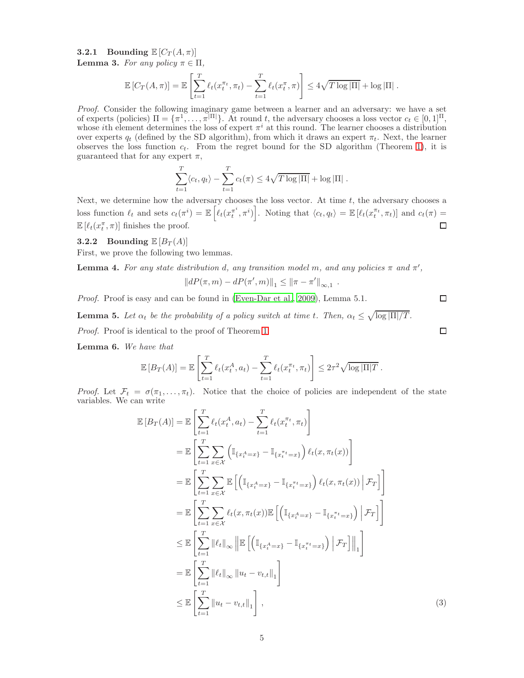<span id="page-4-2"></span>**3.2.1** Bounding  $\mathbb{E}[C_T(A,\pi)]$ 

**Lemma 3.** For any policy  $\pi \in \Pi$ ,

$$
\mathbb{E}\left[C_T(A,\pi)\right] = \mathbb{E}\left[\sum_{t=1}^T \ell_t(x_t^{\pi_t}, \pi_t) - \sum_{t=1}^T \ell_t(x_t^{\pi}, \pi)\right] \leq 4\sqrt{T \log |\Pi|} + \log |\Pi|.
$$

Proof. Consider the following imaginary game between a learner and an adversary: we have a set of experts (policies)  $\Pi = {\pi^1, \dots, \pi^{|\Pi|}}$ . At round t, the adversary chooses a loss vector  $c_t \in [0, 1]^{\Pi}$ , whose *i*th element determines the loss of expert  $\pi^{i}$  at this round. The learner chooses a distribution over experts  $q_t$  (defined by the SD algorithm), from which it draws an expert  $\pi_t$ . Next, the learner observes the loss function  $c_t$ . From the regret bound for the SD algorithm (Theorem [1\)](#page-3-1), it is guaranteed that for any expert  $\pi$ ,

$$
\sum_{t=1}^T \langle c_t, q_t \rangle - \sum_{t=1}^T c_t(\pi) \le 4\sqrt{T \log |\Pi|} + \log |\Pi|.
$$

Next, we determine how the adversary chooses the loss vector. At time  $t$ , the adversary chooses a loss function  $\ell_t$  and sets  $c_t(\pi^i) = \mathbb{E}\left[\ell_t(x_t^{\pi^i})\right]$  $\begin{bmatrix} \pi^i, \pi^i \end{bmatrix}$ . Noting that  $\langle c_t, q_t \rangle = \mathbb{E} \left[ \ell_t(x_t^{\pi_t}, \pi_t) \right]$  and  $c_t(\pi) =$  $\mathbb{E}\left[\ell_t(x_t^{\pi}, \pi)\right]$  finishes the proof.  $\Box$ 

#### **3.2.2** Bounding  $\mathbb{E}[B_T(A)]$

First, we prove the following two lemmas.

**Lemma 4.** For any state distribution d, any transition model m, and any policies  $\pi$  and  $\pi'$ ,

$$
||dP(\pi,m) - dP(\pi',m)||_1 \le ||\pi - \pi'||_{\infty,1} .
$$

<span id="page-4-0"></span>Proof. Proof is easy and can be found in [\(Even-Dar et al.](#page-6-3), [2009](#page-6-3)), Lemma 5.1.

**Lemma 5.** Let  $\alpha_t$  be the probability of a policy switch at time t. Then,  $\alpha_t \leq \sqrt{\log |\Pi|/T}$ .

Proof. Proof is identical to the proof of Theorem [1.](#page-3-1)

<span id="page-4-3"></span>Lemma 6. We have that

$$
\mathbb{E}\left[B_T(A)\right] = \mathbb{E}\left[\sum_{t=1}^T \ell_t(x_t^A, a_t) - \sum_{t=1}^T \ell_t(x_t^{\pi_t}, \pi_t)\right] \leq 2\tau^2 \sqrt{\log|\Pi|T}.
$$

*Proof.* Let  $\mathcal{F}_t = \sigma(\pi_1, \ldots, \pi_t)$ . Notice that the choice of policies are independent of the state variables. We can write

$$
\mathbb{E}\left[B_T(A)\right] = \mathbb{E}\left[\sum_{t=1}^T \ell_t(x_t^A, a_t) - \sum_{t=1}^T \ell_t(x_t^{\pi_t}, \pi_t)\right]
$$
\n
$$
= \mathbb{E}\left[\sum_{t=1}^T \sum_{x \in \mathcal{X}} \left(\mathbb{I}_{\{x_t^A = x\}} - \mathbb{I}_{\{x_t^{\pi_t} = x\}}\right) \ell_t(x, \pi_t(x))\right]
$$
\n
$$
= \mathbb{E}\left[\sum_{t=1}^T \sum_{x \in \mathcal{X}} \mathbb{E}\left[\left(\mathbb{I}_{\{x_t^A = x\}} - \mathbb{I}_{\{x_t^{\pi_t} = x\}}\right) \ell_t(x, \pi_t(x)) \mid \mathcal{F}_T\right]\right]
$$
\n
$$
= \mathbb{E}\left[\sum_{t=1}^T \sum_{x \in \mathcal{X}} \ell_t(x, \pi_t(x)) \mathbb{E}\left[\left(\mathbb{I}_{\{x_t^A = x\}} - \mathbb{I}_{\{x_t^{\pi_t} = x\}}\right) \mid \mathcal{F}_T\right]\right]
$$
\n
$$
\leq \mathbb{E}\left[\sum_{t=1}^T \|\ell_t\|_{\infty} \left\|\mathbb{E}\left[\left(\mathbb{I}_{\{x_t^A = x\}} - \mathbb{I}_{\{x_t^{\pi_t} = x\}}\right) \mid \mathcal{F}_T\right]\right\|_1\right]
$$
\n
$$
= \mathbb{E}\left[\sum_{t=1}^T \|\ell_t\|_{\infty} \left\|u_t - v_{t,t}\right\|_1\right]
$$
\n
$$
\leq \mathbb{E}\left[\sum_{t=1}^T \left\|u_t - v_{t,t}\right\|_1\right],
$$
\n(3)

 $\Box$ 

<span id="page-4-1"></span> $\Box$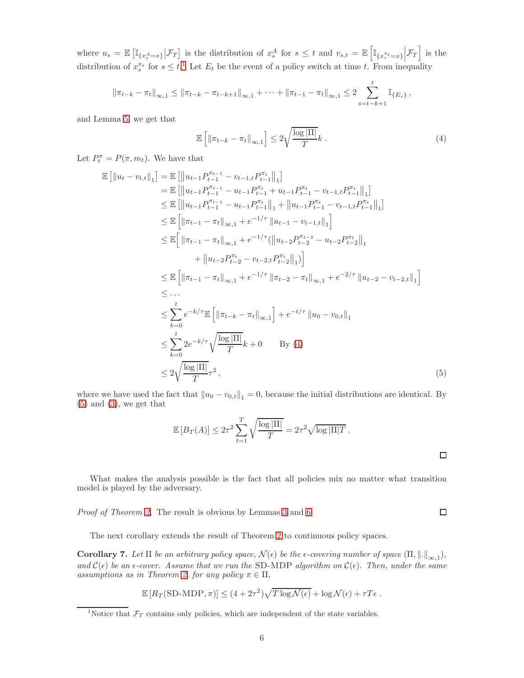where  $u_s = \mathbb{E}\left[\mathbb{I}_{\{x_s^A=x\}}|\mathcal{F}_T\right]$  is the distribution of  $x_s^A$  for  $s \leq t$  and  $v_{s,t} = \mathbb{E}\left[\mathbb{I}_{\{x_s^{\pi_t}=x\}}\Big|\mathcal{F}_T\right]$  is the distribution of  $x_s^{\pi_t}$  for  $s \leq t$ .<sup>[1](#page-5-0)</sup> Let  $E_t$  be the event of a policy switch at time t. From inequality

$$
\left\|\pi_{t-k}-\pi_t\right\|_{\infty,1} \leq \left\|\pi_{t-k}-\pi_{t-k+1}\right\|_{\infty,1} + \cdots + \left\|\pi_{t-1}-\pi_t\right\|_{\infty,1} \leq 2 \sum_{s=t-k+1}^t \mathbb{I}_{\{E_s\}},
$$

and Lemma [5,](#page-4-0) we get that

<span id="page-5-1"></span>
$$
\mathbb{E}\left[\left\|\pi_{t-k} - \pi_t\right\|_{\infty,1}\right] \le 2\sqrt{\frac{\log|\Pi|}{T}}k\ .\tag{4}
$$

Let  $P_t^{\pi} = P(\pi, m_t)$ . We have that

$$
\mathbb{E}\left[\|u_t - v_{t,t}\|_1\right] = \mathbb{E}\left[\|u_{t-1}P_{t-1}^{\pi_{t-1}} - v_{t-1,t}P_{t-1}^{\pi_{t}}\|_1\right] \n= \mathbb{E}\left[\|u_{t-1}P_{t-1}^{\pi_{t-1}} - u_{t-1}P_{t-1}^{\pi_{t}} + u_{t-1}P_{t-1}^{\pi_{t}} - v_{t-1,t}P_{t-1}^{\pi_{t}}\|_1\right] \n\leq \mathbb{E}\left[\|u_{t-1}P_{t-1}^{\pi_{t-1}} - u_{t-1}P_{t-1}^{\pi_{t}}\|_1 + \|u_{t-1}P_{t-1}^{\pi_{t}} - v_{t-1,t}P_{t-1}^{\pi_{t}}\|_1\right] \n\leq \mathbb{E}\left[\|\pi_{t-1} - \pi_{t}\|_{\infty,1} + e^{-1/\tau}\|u_{t-1} - v_{t-1,t}\|_1\right] \n\leq \mathbb{E}\left[\|\pi_{t-1} - \pi_{t}\|_{\infty,1} + e^{-1/\tau}(\|u_{t-2}P_{t-2}^{\pi_{t-2}} - u_{t-2}P_{t-2}^{\pi_{t}}\|_1 + \|u_{t-2}P_{t-2}^{\pi_{t}} - v_{t-1,t}P_{t-1}^{\pi_{t}}\|_1)\right] \n\leq \mathbb{E}\left[\|\pi_{t-1} - \pi_{t}\|_{\infty,1} + e^{-1/\tau}\|\pi_{t-2} - \pi_{t}\|_{\infty,1} + e^{-2/\tau}\|u_{t-2} - v_{t-2,t}\|_1\right] \n\leq \dots \n\leq \sum_{k=0}^{t} e^{-k/\tau} \mathbb{E}\left[\|\pi_{t-k} - \pi_{t}\|_{\infty,1}\right] + e^{-t/\tau}\|u_{0} - v_{0,t}\|_1 \n\leq \sum_{k=0}^{t} 2e^{-k/\tau} \sqrt{\frac{\log|\Pi|}{T}}k + 0 \qquad \text{By (4)} \n\leq 2\sqrt{\frac{\log|\Pi|}{T}}\tau^2,
$$
\n(5)

where we have used the fact that  $||u_0 - v_{0,t}||_1 = 0$ , because the initial distributions are identical. By  $(5)$  and  $(3)$ , we get that

$$
\mathbb{E}\left[B_T(A)\right] \le 2\tau^2 \sum_{t=1}^T \sqrt{\frac{\log|\Pi|}{T}} = 2\tau^2 \sqrt{\log|\Pi|T}.
$$

What makes the analysis possible is the fact that all policies mix no matter what transition model is played by the adversary.

Proof of Theorem [2.](#page-3-2) The result is obvious by Lemmas [3](#page-4-2) and [6.](#page-4-3)

The next corollary extends the result of Theorem [2](#page-3-2) to continuous policy spaces.

**Corollary 7.** Let  $\Pi$  be an arbitrary policy space,  $\mathcal{N}(\epsilon)$  be the  $\epsilon$ -covering number of space  $(\Pi, \|\cdot\|_{\infty,1}),$ and  $\mathcal{C}(\epsilon)$  be an  $\epsilon$ -cover. Assume that we run the SD-MDP algorithm on  $\mathcal{C}(\epsilon)$ . Then, under the same assumptions as in Theorem [2,](#page-3-2) for any policy  $\pi \in \Pi$ ,

$$
\mathbb{E}\left[R_T(\text{SD-MDP},\pi)\right] \leq (4 + 2\tau^2)\sqrt{T \log \mathcal{N}(\epsilon)} + \log \mathcal{N}(\epsilon) + \tau T \epsilon.
$$

<span id="page-5-2"></span> $\Box$ 

<span id="page-5-0"></span><sup>&</sup>lt;sup>1</sup>Notice that  $\mathcal{F}_T$  contains only policies, which are independent of the state variables.